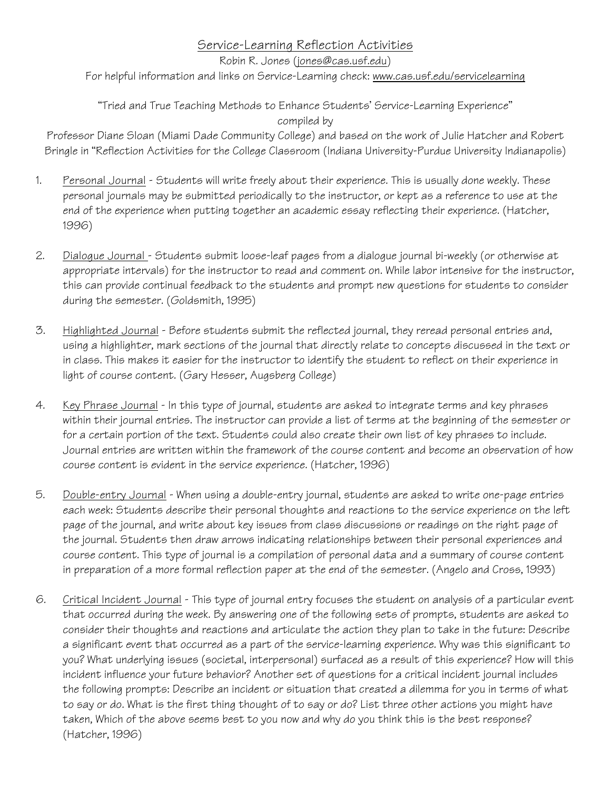## Service-Learning Reflection Activities

Robin R. Jones (jones@cas.usf.edu)

For helpful information and links on Service-Learning check: www.cas.usf.edu/servicelearning

## "Tried and True Teaching Methods to Enhance Students' Service-Learning Experience" compiled by

Professor Diane Sloan (Miami Dade Community College) and based on the work of Julie Hatcher and Robert Bringle in "Reflection Activities for the College Classroom (Indiana University-Purdue University Indianapolis)

- 1. Personal Journal Students will write freely about their experience. This is usually done weekly. These personal journals may be submitted periodically to the instructor, or kept as a reference to use at the end of the experience when putting together an academic essay reflecting their experience. (Hatcher, 1996)
- 2. Dialogue Journal Students submit loose-leaf pages from a dialogue journal bi-weekly (or otherwise at appropriate intervals) for the instructor to read and comment on. While labor intensive for the instructor, this can provide continual feedback to the students and prompt new questions for students to consider during the semester. (Goldsmith, 1995)
- 3. Highlighted Journal Before students submit the reflected journal, they reread personal entries and, using a highlighter, mark sections of the journal that directly relate to concepts discussed in the text or in class. This makes it easier for the instructor to identify the student to reflect on their experience in light of course content. (Gary Hesser, Augsberg College)
- 4. Key Phrase Journal In this type of journal, students are asked to integrate terms and key phrases within their journal entries. The instructor can provide a list of terms at the beginning of the semester or for a certain portion of the text. Students could also create their own list of key phrases to include. Journal entries are written within the framework of the course content and become an observation of how course content is evident in the service experience. (Hatcher, 1996)
- 5. Double-entry Journal When using a double-entry journal, students are asked to write one-page entries each week: Students describe their personal thoughts and reactions to the service experience on the left page of the journal, and write about key issues from class discussions or readings on the right page of the journal. Students then draw arrows indicating relationships between their personal experiences and course content. This type of journal is a compilation of personal data and a summary of course content in preparation of a more formal reflection paper at the end of the semester. (Angelo and Cross, 1993)
- 6. Critical Incident Journal This type of journal entry focuses the student on analysis of a particular event that occurred during the week. By answering one of the following sets of prompts, students are asked to consider their thoughts and reactions and articulate the action they plan to take in the future: Describe a significant event that occurred as a part of the service-learning experience. Why was this significant to you? What underlying issues (societal, interpersonal) surfaced as a result of this experience? How will this incident influence your future behavior? Another set of questions for a critical incident journal includes the following prompts: Describe an incident or situation that created a dilemma for you in terms of what to say or do. What is the first thing thought of to say or do? List three other actions you might have taken, Which of the above seems best to you now and why do you think this is the best response? (Hatcher, 1996)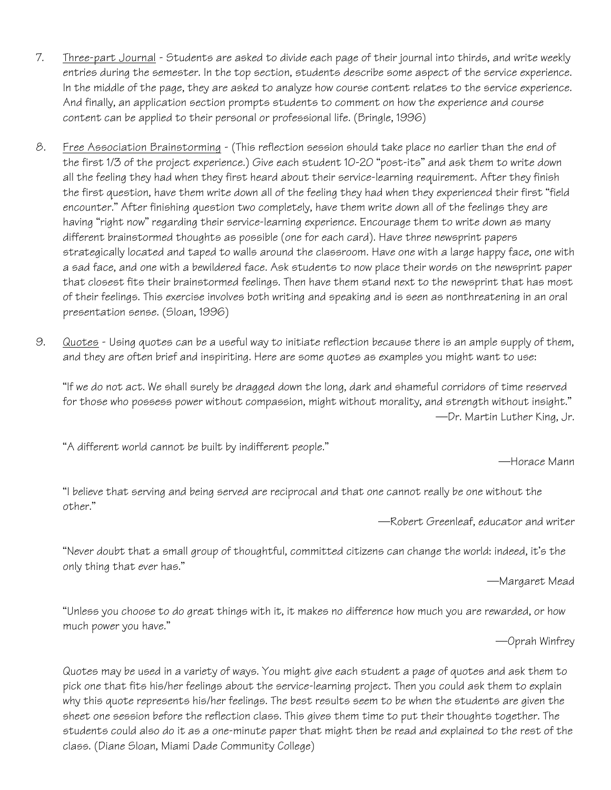- 7. Three-part Journal Students are asked to divide each page of their journal into thirds, and write weekly entries during the semester. In the top section, students describe some aspect of the service experience. In the middle of the page, they are asked to analyze how course content relates to the service experience. And finally, an application section prompts students to comment on how the experience and course content can be applied to their personal or professional life. (Bringle, 1996)
- 8. Free Association Brainstorming (This reflection session should take place no earlier than the end of the first 1/3 of the project experience.) Give each student 10-20 "post-its" and ask them to write down all the feeling they had when they first heard about their service-learning requirement. After they finish the first question, have them write down all of the feeling they had when they experienced their first "field encounter." After finishing question two completely, have them write down all of the feelings they are having "right now" regarding their service-learning experience. Encourage them to write down as many different brainstormed thoughts as possible (one for each card). Have three newsprint papers strategically located and taped to walls around the classroom. Have one with a large happy face, one with a sad face, and one with a bewildered face. Ask students to now place their words on the newsprint paper that closest fits their brainstormed feelings. Then have them stand next to the newsprint that has most of their feelings. This exercise involves both writing and speaking and is seen as nonthreatening in an oral presentation sense. (Sloan, 1996)
- 9. Quotes Using quotes can be a useful way to initiate reflection because there is an ample supply of them, and they are often brief and inspiriting. Here are some quotes as examples you might want to use:

"If we do not act. We shall surely be dragged down the long, dark and shameful corridors of time reserved for those who possess power without compassion, might without morality, and strength without insight." —Dr. Martin Luther King, Jr.

"A different world cannot be built by indifferent people."

—Horace Mann

"I believe that serving and being served are reciprocal and that one cannot really be one without the other."

—Robert Greenleaf, educator and writer

"Never doubt that a small group of thoughtful, committed citizens can change the world: indeed, it's the only thing that ever has."

—Margaret Mead

"Unless you choose to do great things with it, it makes no difference how much you are rewarded, or how much power you have."

—Oprah Winfrey

Quotes may be used in a variety of ways. You might give each student a page of quotes and ask them to pick one that fits his/her feelings about the service-learning project. Then you could ask them to explain why this quote represents his/her feelings. The best results seem to be when the students are given the sheet one session before the reflection class. This gives them time to put their thoughts together. The students could also do it as a one-minute paper that might then be read and explained to the rest of the class. (Diane Sloan, Miami Dade Community College)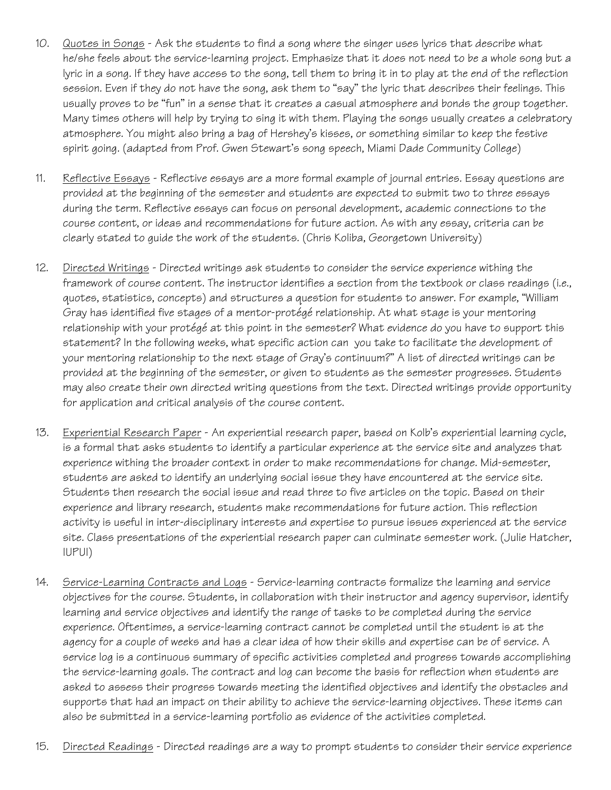- 10. Quotes in Songs Ask the students to find a song where the singer uses lyrics that describe what he/she feels about the service-learning project. Emphasize that it does not need to be a whole song but a lyric in a song. If they have access to the song, tell them to bring it in to play at the end of the reflection session. Even if they do not have the song, ask them to "say" the lyric that describes their feelings. This usually proves to be "fun" in a sense that it creates a casual atmosphere and bonds the group together. Many times others will help by trying to sing it with them. Playing the songs usually creates a celebratory atmosphere. You might also bring a bag of Hershey's kisses, or something similar to keep the festive spirit going. (adapted from Prof. Gwen Stewart's song speech, Miami Dade Community College)
- 11. Reflective Essays Reflective essays are a more formal example of journal entries. Essay questions are provided at the beginning of the semester and students are expected to submit two to three essays during the term. Reflective essays can focus on personal development, academic connections to the course content, or ideas and recommendations for future action. As with any essay, criteria can be clearly stated to guide the work of the students. (Chris Koliba, Georgetown University)
- 12. Directed Writings Directed writings ask students to consider the service experience withing the framework of course content. The instructor identifies a section from the textbook or class readings (i.e., quotes, statistics, concepts) and structures a question for students to answer. For example, "William Gray has identified five stages of a mentor-protégé relationship. At what stage is your mentoring relationship with your protégé at this point in the semester? What evidence do you have to support this statement? In the following weeks, what specific action can you take to facilitate the development of your mentoring relationship to the next stage of Gray's continuum?" A list of directed writings can be provided at the beginning of the semester, or given to students as the semester progresses. Students may also create their own directed writing questions from the text. Directed writings provide opportunity for application and critical analysis of the course content.
- 13. Experiential Research Paper An experiential research paper, based on Kolb's experiential learning cycle, is a formal that asks students to identify a particular experience at the service site and analyzes that experience withing the broader context in order to make recommendations for change. Mid-semester, students are asked to identify an underlying social issue they have encountered at the service site. Students then research the social issue and read three to five articles on the topic. Based on their experience and library research, students make recommendations for future action. This reflection activity is useful in inter-disciplinary interests and expertise to pursue issues experienced at the service site. Class presentations of the experiential research paper can culminate semester work. (Julie Hatcher, IUPUI)
- 14. Service-Learning Contracts and Logs Service-learning contracts formalize the learning and service objectives for the course. Students, in collaboration with their instructor and agency supervisor, identify learning and service objectives and identify the range of tasks to be completed during the service experience. Oftentimes, a service-learning contract cannot be completed until the student is at the agency for a couple of weeks and has a clear idea of how their skills and expertise can be of service. A service log is a continuous summary of specific activities completed and progress towards accomplishing the service-learning goals. The contract and log can become the basis for reflection when students are asked to assess their progress towards meeting the identified objectives and identify the obstacles and supports that had an impact on their ability to achieve the service-learning objectives. These items can also be submitted in a service-learning portfolio as evidence of the activities completed.
- 15. Directed Readings Directed readings are a way to prompt students to consider their service experience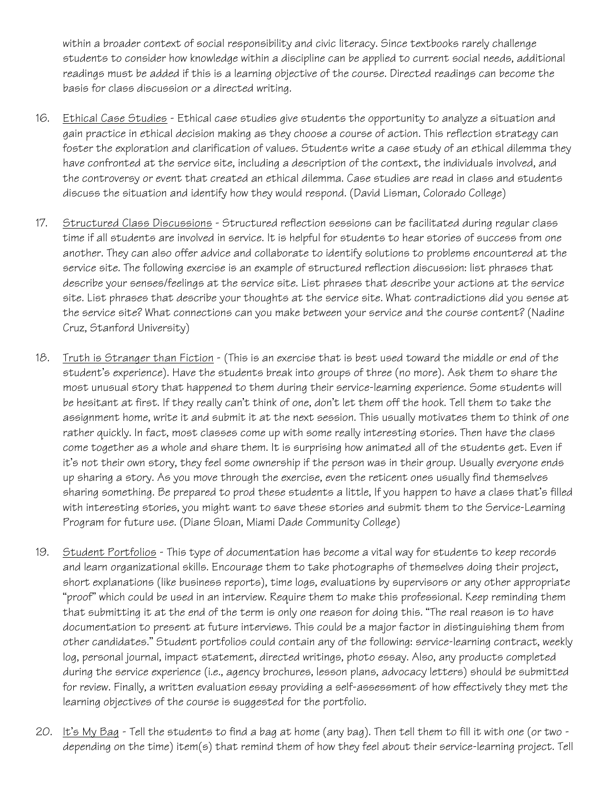within a broader context of social responsibility and civic literacy. Since textbooks rarely challenge students to consider how knowledge within a discipline can be applied to current social needs, additional readings must be added if this is a learning objective of the course. Directed readings can become the basis for class discussion or a directed writing.

- 16. Ethical Case Studies Ethical case studies give students the opportunity to analyze a situation and gain practice in ethical decision making as they choose a course of action. This reflection strategy can foster the exploration and clarification of values. Students write a case study of an ethical dilemma they have confronted at the service site, including a description of the context, the individuals involved, and the controversy or event that created an ethical dilemma. Case studies are read in class and students discuss the situation and identify how they would respond. (David Lisman, Colorado College)
- 17. Structured Class Discussions Structured reflection sessions can be facilitated during regular class time if all students are involved in service. It is helpful for students to hear stories of success from one another. They can also offer advice and collaborate to identify solutions to problems encountered at the service site. The following exercise is an example of structured reflection discussion: list phrases that describe your senses/feelings at the service site. List phrases that describe your actions at the service site. List phrases that describe your thoughts at the service site. What contradictions did you sense at the service site? What connections can you make between your service and the course content? (Nadine Cruz, Stanford University)
- 18. Truth is Stranger than Fiction (This is an exercise that is best used toward the middle or end of the student's experience). Have the students break into groups of three (no more). Ask them to share the most unusual story that happened to them during their service-learning experience. Some students will be hesitant at first. If they really can't think of one, don't let them off the hook. Tell them to take the assignment home, write it and submit it at the next session. This usually motivates them to think of one rather quickly. In fact, most classes come up with some really interesting stories. Then have the class come together as a whole and share them. It is surprising how animated all of the students get. Even if it's not their own story, they feel some ownership if the person was in their group. Usually everyone ends up sharing a story. As you move through the exercise, even the reticent ones usually find themselves sharing something. Be prepared to prod these students a little, If you happen to have a class that's filled with interesting stories, you might want to save these stories and submit them to the Service-Learning Program for future use. (Diane Sloan, Miami Dade Community College)
- 19. Student Portfolios This type of documentation has become a vital way for students to keep records and learn organizational skills. Encourage them to take photographs of themselves doing their project, short explanations (like business reports), time logs, evaluations by supervisors or any other appropriate "proof" which could be used in an interview. Require them to make this professional. Keep reminding them that submitting it at the end of the term is only one reason for doing this. "The real reason is to have documentation to present at future interviews. This could be a major factor in distinguishing them from other candidates." Student portfolios could contain any of the following: service-learning contract, weekly log, personal journal, impact statement, directed writings, photo essay. Also, any products completed during the service experience (i.e., agency brochures, lesson plans, advocacy letters) should be submitted for review. Finally, a written evaluation essay providing a self-assessment of how effectively they met the learning objectives of the course is suggested for the portfolio.
- 20. It's My Bag Tell the students to find a bag at home (any bag). Then tell them to fill it with one (or two depending on the time) item(s) that remind them of how they feel about their service-learning project. Tell